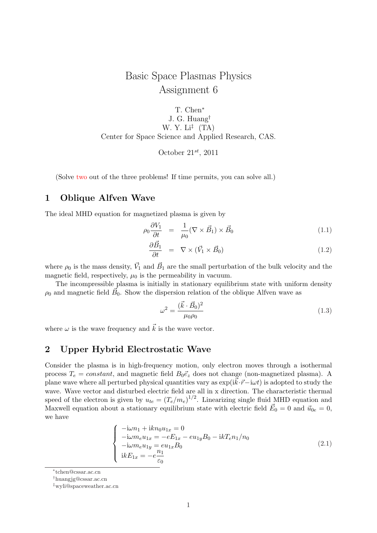## Basic Space Plasmas Physics Assignment 6

T. Chen*<sup>∗</sup>* J. G. Huang*†* W. Y. Li*‡* (TA) Center for Space Science and Applied Research, CAS.

October 21*st*, 2011

(Solve two out of the three problems! If time permits, you can solve all.)

## **1 Oblique Alfven Wave**

The ideal MHD equation for magnetized plasma is given by

$$
\rho_0 \frac{\partial V_1}{\partial t} = \frac{1}{\mu_0} (\nabla \times \vec{B}_1) \times \vec{B}_0 \tag{1.1}
$$

$$
\frac{\partial \vec{B}_1}{\partial t} = \nabla \times (\vec{V}_1 \times \vec{B}_0) \tag{1.2}
$$

where  $\rho_0$  is the mass density,  $\vec{V}_1$  and  $\vec{B}_1$  are the small perturbation of the bulk velocity and the magnetic field, respectively,  $\mu_0$  is the permeability in vacuum.

The incompressible plasma is initially in stationary equilibrium state with uniform density  $\rho_0$  and magnetic field  $\vec{B}_0$ . Show the dispersion relation of the oblique Alfven wave as

$$
\omega^2 = \frac{(\vec{k} \cdot \vec{B}_0)^2}{\mu_0 \rho_0} \tag{1.3}
$$

where  $\omega$  is the wave frequency and  $\vec{k}$  is the wave vector.

## **2 Upper Hybrid Electrostatic Wave**

Consider the plasma is in high-frequency motion, only electron moves through a isothermal process  $T_e = constant$ , and magnetic field  $B_0 \vec{e}_z$  does not change (non-magnetized plasma). A plane wave where all perturbed physical quantities vary as  $\exp(ik \cdot \vec{r} - i \omega t)$  is adopted to study the wave. Wave vector and disturbed electric field are all in x direction. The characteristic thermal speed of the electron is given by  $u_{te} = (T_e/m_e)^{1/2}$ . Linearizing single fluid MHD equation and Maxwell equation about a stationary equilibrium state with electric field  $\vec{E}_0 = 0$  and  $\vec{u}_{0e} = 0$ , we have

$$
\begin{cases}\n-i\omega n_1 + i k n_0 u_{1x} = 0 \\
-i\omega m_e u_{1x} = -e E_{1x} - e u_{1y} B_0 - i k T_e n_1 / n_0 \\
-i\omega m_e u_{1y} = e u_{1x} B_0 \\
ik E_{1x} = -e \frac{n_1}{\varepsilon_0}\n\end{cases} (2.1)
$$

*∗* tchen@cssar.ac.cn

*<sup>†</sup>*huangjg@cssar.ac.cn

*<sup>‡</sup>*wyli@spaceweather.ac.cn